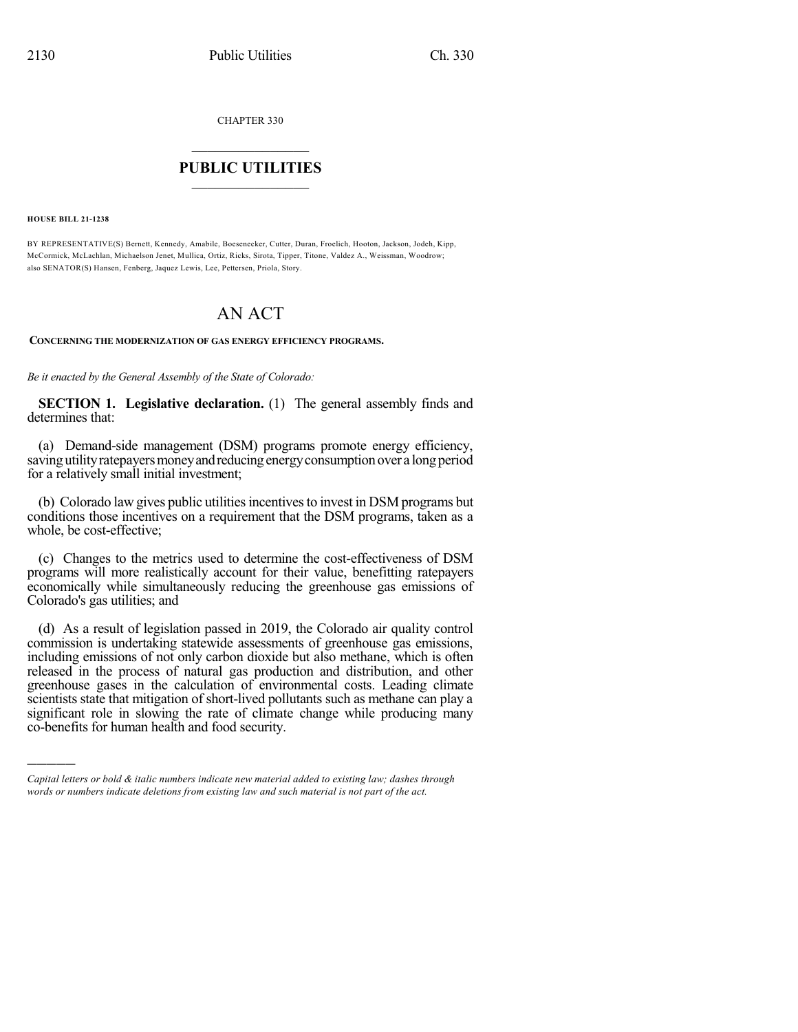CHAPTER 330

## $\mathcal{L}_\text{max}$  . The set of the set of the set of the set of the set of the set of the set of the set of the set of the set of the set of the set of the set of the set of the set of the set of the set of the set of the set **PUBLIC UTILITIES** \_\_\_\_\_\_\_\_\_\_\_\_\_\_\_

**HOUSE BILL 21-1238**

)))))

BY REPRESENTATIVE(S) Bernett, Kennedy, Amabile, Boesenecker, Cutter, Duran, Froelich, Hooton, Jackson, Jodeh, Kipp, McCormick, McLachlan, Michaelson Jenet, Mullica, Ortiz, Ricks, Sirota, Tipper, Titone, Valdez A., Weissman, Woodrow; also SENATOR(S) Hansen, Fenberg, Jaquez Lewis, Lee, Pettersen, Priola, Story.

# AN ACT

**CONCERNING THE MODERNIZATION OF GAS ENERGY EFFICIENCY PROGRAMS.**

*Be it enacted by the General Assembly of the State of Colorado:*

**SECTION 1. Legislative declaration.** (1) The general assembly finds and determines that:

(a) Demand-side management (DSM) programs promote energy efficiency, saving utility ratepayers money and reducing energy consumption over a long period for a relatively small initial investment;

(b) Colorado law gives public utilities incentives to invest in DSM programs but conditions those incentives on a requirement that the DSM programs, taken as a whole, be cost-effective;

(c) Changes to the metrics used to determine the cost-effectiveness of DSM programs will more realistically account for their value, benefitting ratepayers economically while simultaneously reducing the greenhouse gas emissions of Colorado's gas utilities; and

(d) As a result of legislation passed in 2019, the Colorado air quality control commission is undertaking statewide assessments of greenhouse gas emissions, including emissions of not only carbon dioxide but also methane, which is often released in the process of natural gas production and distribution, and other greenhouse gases in the calculation of environmental costs. Leading climate scientists state that mitigation of short-lived pollutants such as methane can play a significant role in slowing the rate of climate change while producing many co-benefits for human health and food security.

*Capital letters or bold & italic numbers indicate new material added to existing law; dashes through words or numbers indicate deletions from existing law and such material is not part of the act.*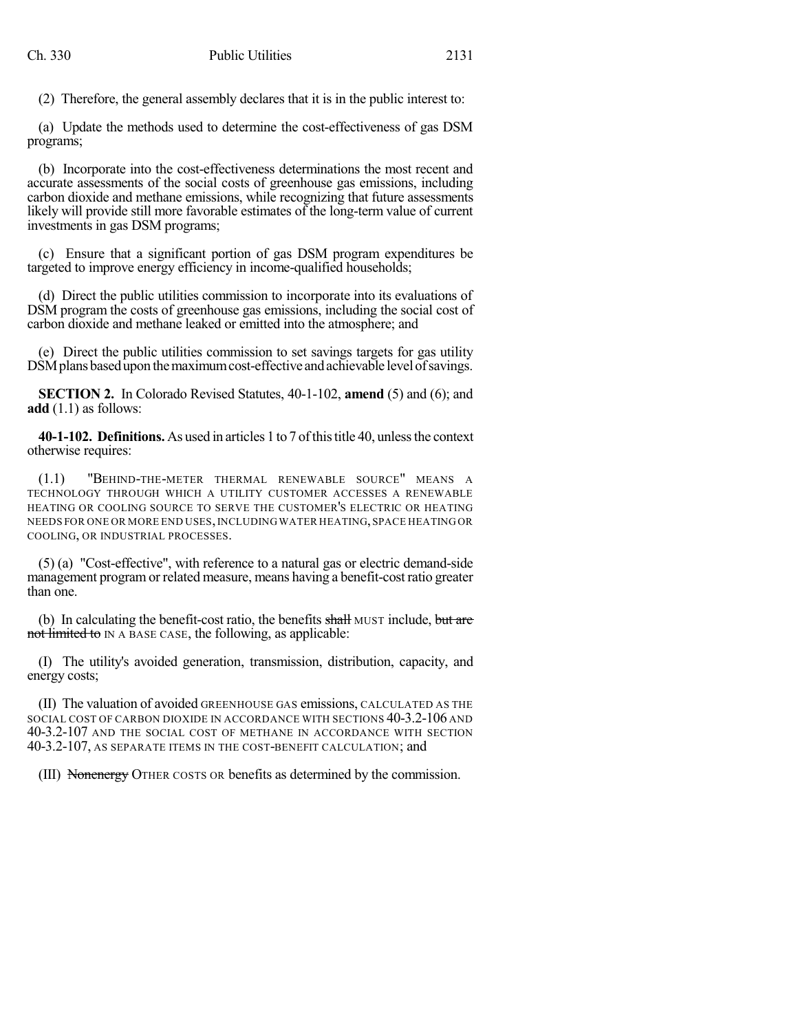(2) Therefore, the general assembly declares that it is in the public interest to:

(a) Update the methods used to determine the cost-effectiveness of gas DSM programs;

(b) Incorporate into the cost-effectiveness determinations the most recent and accurate assessments of the social costs of greenhouse gas emissions, including carbon dioxide and methane emissions, while recognizing that future assessments likely will provide still more favorable estimates of the long-term value of current investments in gas DSM programs;

(c) Ensure that a significant portion of gas DSM program expenditures be targeted to improve energy efficiency in income-qualified households;

(d) Direct the public utilities commission to incorporate into its evaluations of DSM program the costs of greenhouse gas emissions, including the social cost of carbon dioxide and methane leaked or emitted into the atmosphere; and

(e) Direct the public utilities commission to set savings targets for gas utility DSM plans based upon the maximum cost-effective and achievable level of savings.

**SECTION 2.** In Colorado Revised Statutes, 40-1-102, **amend** (5) and (6); and **add** (1.1) as follows:

**40-1-102. Definitions.** As used in articles 1 to 7 of this title 40, unless the context otherwise requires:

(1.1) "BEHIND-THE-METER THERMAL RENEWABLE SOURCE" MEANS A TECHNOLOGY THROUGH WHICH A UTILITY CUSTOMER ACCESSES A RENEWABLE HEATING OR COOLING SOURCE TO SERVE THE CUSTOMER'S ELECTRIC OR HEATING NEEDS FOR ONE OR MORE END USES,INCLUDING WATER HEATING,SPACE HEATING OR COOLING, OR INDUSTRIAL PROCESSES.

(5) (a) "Cost-effective", with reference to a natural gas or electric demand-side management programor related measure, means having a benefit-costratio greater than one.

(b) In calculating the benefit-cost ratio, the benefits shall MUST include, but are not limited to IN A BASE CASE, the following, as applicable:

(I) The utility's avoided generation, transmission, distribution, capacity, and energy costs;

(II) The valuation of avoided GREENHOUSE GAS emissions, CALCULATED AS THE SOCIAL COST OF CARBON DIOXIDE IN ACCORDANCE WITH SECTIONS 40-3.2-106 AND 40-3.2-107 AND THE SOCIAL COST OF METHANE IN ACCORDANCE WITH SECTION 40-3.2-107, AS SEPARATE ITEMS IN THE COST-BENEFIT CALCULATION; and

(III) Nonenergy OTHER COSTS OR benefits as determined by the commission.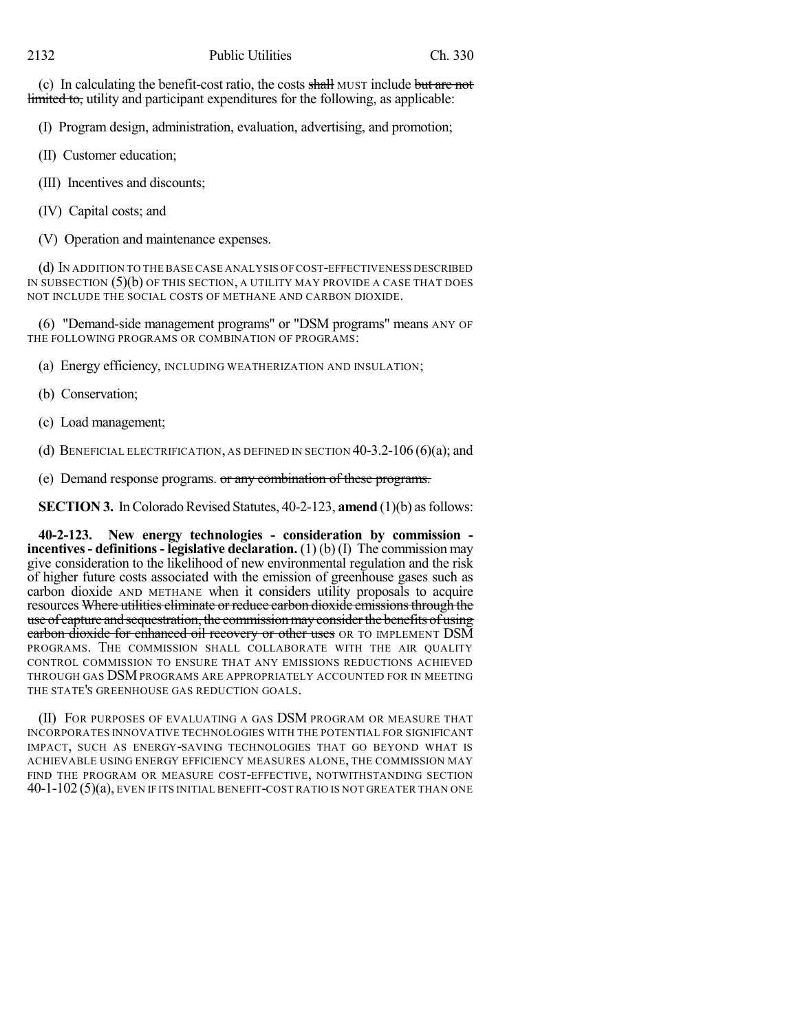(c) In calculating the benefit-cost ratio, the costs shall MUST include but are not limited to, utility and participant expenditures for the following, as applicable:

(I) Program design, administration, evaluation, advertising, and promotion;

(II) Customer education;

(III) Incentives and discounts;

(IV) Capital costs; and

(V) Operation and maintenance expenses.

(d) IN ADDITION TO THE BASE CASE ANALYSIS OF COST-EFFECTIVENESS DESCRIBED IN SUBSECTION  $(5)(b)$  OF THIS SECTION, A UTILITY MAY PROVIDE A CASE THAT DOES NOT INCLUDE THE SOCIAL COSTS OF METHANE AND CARBON DIOXIDE.

(6) "Demand-side management programs" or "DSM programs" means ANY OF THE FOLLOWING PROGRAMS OR COMBINATION OF PROGRAMS:

(a) Energy efficiency, INCLUDING WEATHERIZATION AND INSULATION;

(b) Conservation;

(c) Load management;

(d) BENEFICIAL ELECTRIFICATION, AS DEFINED IN SECTION  $40-3.2-106(6)(a)$ ; and

(e) Demand response programs. or any combination of these programs.

**SECTION 3.** In Colorado Revised Statutes, 40-2-123, **amend** (1)(b) as follows:

**40-2-123. New energy technologies - consideration by commission incentives- definitions- legislative declaration.** (1) (b) (I) The commission may give consideration to the likelihood of new environmental regulation and the risk of higher future costs associated with the emission of greenhouse gases such as carbon dioxide AND METHANE when it considers utility proposals to acquire resources Where utilities eliminate or reduce carbon dioxide emissions through the use of capture and sequestration, the commission may consider the benefits of using carbon dioxide for enhanced oil recovery or other uses OR TO IMPLEMENT DSM PROGRAMS. THE COMMISSION SHALL COLLABORATE WITH THE AIR QUALITY CONTROL COMMISSION TO ENSURE THAT ANY EMISSIONS REDUCTIONS ACHIEVED THROUGH GAS DSMPROGRAMS ARE APPROPRIATELY ACCOUNTED FOR IN MEETING THE STATE'S GREENHOUSE GAS REDUCTION GOALS.

(II) FOR PURPOSES OF EVALUATING A GAS DSM PROGRAM OR MEASURE THAT INCORPORATES INNOVATIVE TECHNOLOGIES WITH THE POTENTIAL FOR SIGNIFICANT IMPACT, SUCH AS ENERGY-SAVING TECHNOLOGIES THAT GO BEYOND WHAT IS ACHIEVABLE USING ENERGY EFFICIENCY MEASURES ALONE, THE COMMISSION MAY FIND THE PROGRAM OR MEASURE COST-EFFECTIVE, NOTWITHSTANDING SECTION 40-1-102 (5)(a), EVEN IF ITS INITIAL BENEFIT-COST RATIO IS NOT GREATER THAN ONE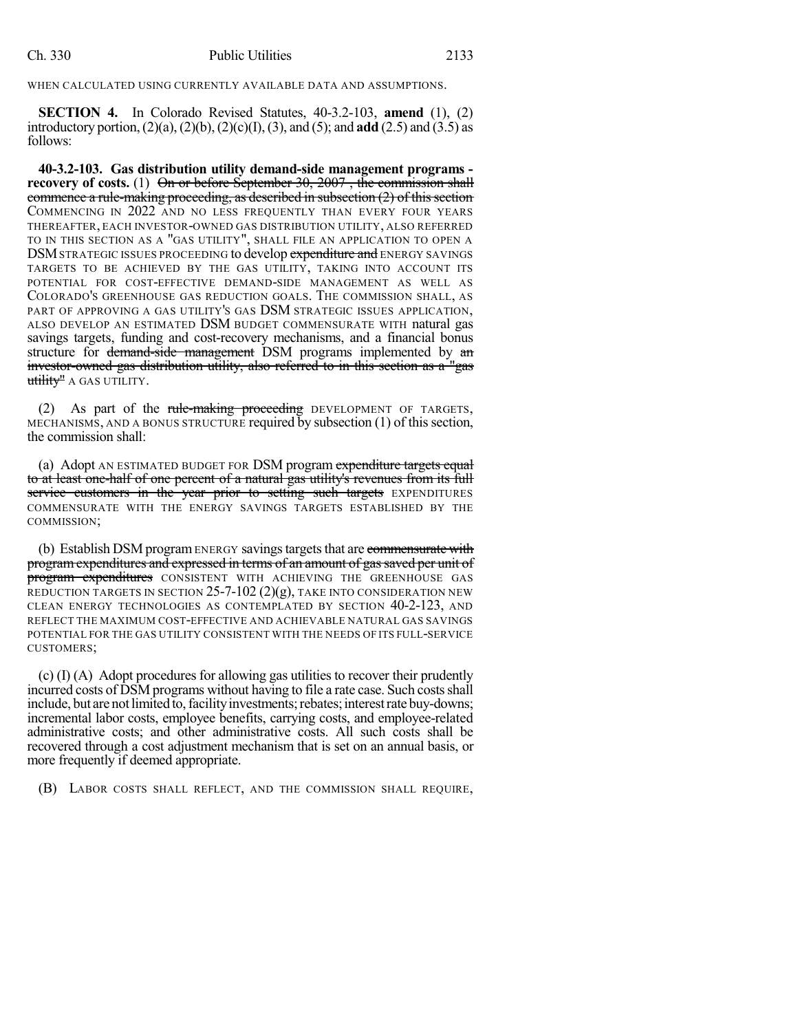### WHEN CALCULATED USING CURRENTLY AVAILABLE DATA AND ASSUMPTIONS.

**SECTION 4.** In Colorado Revised Statutes, 40-3.2-103, **amend** (1), (2) introductory portion,(2)(a),(2)(b),(2)(c)(I),(3), and (5); and **add** (2.5) and (3.5) as follows:

**40-3.2-103. Gas distribution utility demand-side management programs recovery** of costs. (1) On or before September 30, 2007, the commission shall commence a rule-making proceeding, as described in subsection  $(2)$  of this section COMMENCING IN 2022 AND NO LESS FREQUENTLY THAN EVERY FOUR YEARS THEREAFTER, EACH INVESTOR-OWNED GAS DISTRIBUTION UTILITY, ALSO REFERRED TO IN THIS SECTION AS A "GAS UTILITY", SHALL FILE AN APPLICATION TO OPEN A DSM STRATEGIC ISSUES PROCEEDING to develop expenditure and ENERGY SAVINGS TARGETS TO BE ACHIEVED BY THE GAS UTILITY, TAKING INTO ACCOUNT ITS POTENTIAL FOR COST-EFFECTIVE DEMAND-SIDE MANAGEMENT AS WELL AS COLORADO'S GREENHOUSE GAS REDUCTION GOALS. THE COMMISSION SHALL, AS PART OF APPROVING A GAS UTILITY'S GAS DSM STRATEGIC ISSUES APPLICATION. ALSO DEVELOP AN ESTIMATED DSM BUDGET COMMENSURATE WITH natural gas savings targets, funding and cost-recovery mechanisms, and a financial bonus structure for demand-side management DSM programs implemented by an investor-owned gas distribution utility, also referred to in this section as a "gas utility" A GAS UTILITY.

(2) As part of the rule-making proceeding DEVELOPMENT OF TARGETS, MECHANISMS, AND A BONUS STRUCTURE required by subsection (1) of this section, the commission shall:

(a) Adopt AN ESTIMATED BUDGET FOR DSM program expenditure targets equal to at least one-half of one percent of a natural gas utility's revenues from its full service customers in the year prior to setting such targets EXPENDITURES COMMENSURATE WITH THE ENERGY SAVINGS TARGETS ESTABLISHED BY THE COMMISSION;

(b) Establish DSM program ENERGY savings targets that are commensurate with programexpenditures and expressed in terms of an amount of gassaved per unit of program expenditures CONSISTENT WITH ACHIEVING THE GREENHOUSE GAS REDUCTION TARGETS IN SECTION  $25$ -7-102  $(2)(g)$ , TAKE INTO CONSIDERATION NEW CLEAN ENERGY TECHNOLOGIES AS CONTEMPLATED BY SECTION 40-2-123, AND REFLECT THE MAXIMUM COST-EFFECTIVE AND ACHIEVABLE NATURAL GAS SAVINGS POTENTIAL FOR THE GAS UTILITY CONSISTENT WITH THE NEEDS OF ITS FULL-SERVICE CUSTOMERS;

(c) (I) (A) Adopt procedures for allowing gas utilities to recover their prudently incurred costs of DSM programs without having to file a rate case. Such costs shall include, but are not limited to, facility investments; rebates; interest rate buy-downs; incremental labor costs, employee benefits, carrying costs, and employee-related administrative costs; and other administrative costs. All such costs shall be recovered through a cost adjustment mechanism that is set on an annual basis, or more frequently if deemed appropriate.

(B) LABOR COSTS SHALL REFLECT, AND THE COMMISSION SHALL REQUIRE,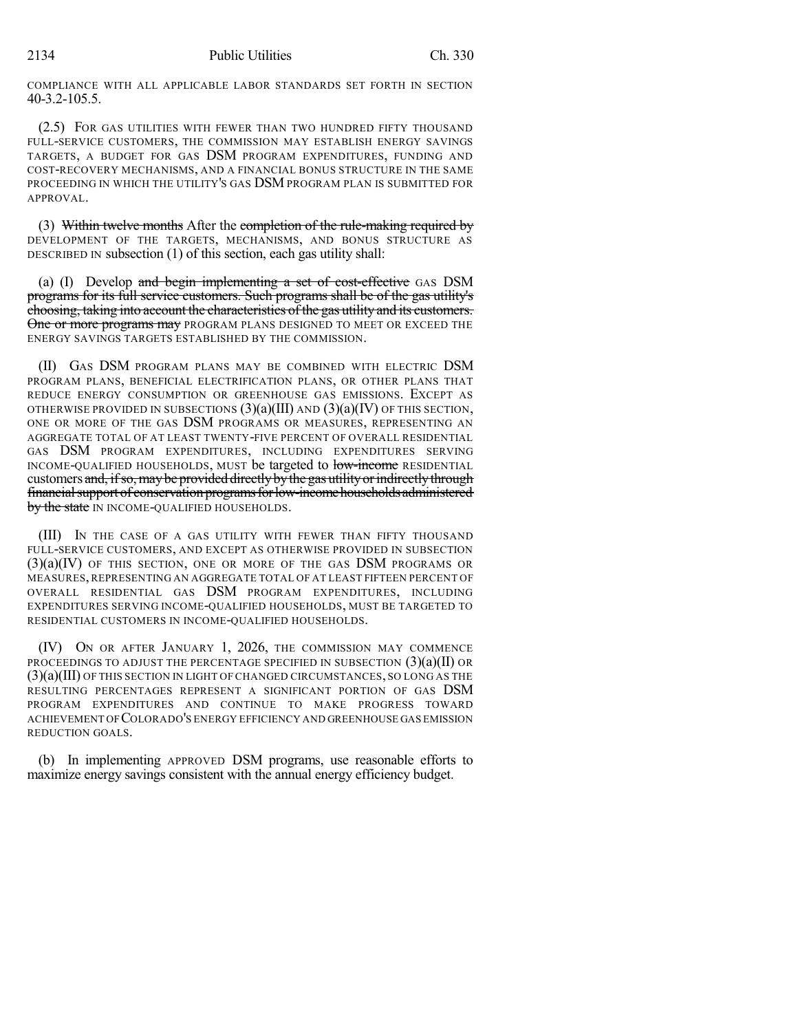COMPLIANCE WITH ALL APPLICABLE LABOR STANDARDS SET FORTH IN SECTION 40-3.2-105.5.

(2.5) FOR GAS UTILITIES WITH FEWER THAN TWO HUNDRED FIFTY THOUSAND FULL-SERVICE CUSTOMERS, THE COMMISSION MAY ESTABLISH ENERGY SAVINGS TARGETS, A BUDGET FOR GAS DSM PROGRAM EXPENDITURES, FUNDING AND COST-RECOVERY MECHANISMS, AND A FINANCIAL BONUS STRUCTURE IN THE SAME PROCEEDING IN WHICH THE UTILITY'S GAS DSM PROGRAM PLAN IS SUBMITTED FOR APPROVAL.

(3) Within twelve months After the completion of the rule-making required by DEVELOPMENT OF THE TARGETS, MECHANISMS, AND BONUS STRUCTURE AS DESCRIBED IN subsection (1) of this section, each gas utility shall:

(a)  $(I)$  Develop and begin implementing a set of cost-effective GAS DSM programs for its full service customers. Such programs shall be of the gas utility's choosing, taking into account the characteristics of the gas utility and its customers. One or more programs may PROGRAM PLANS DESIGNED TO MEET OR EXCEED THE ENERGY SAVINGS TARGETS ESTABLISHED BY THE COMMISSION.

(II) GAS DSM PROGRAM PLANS MAY BE COMBINED WITH ELECTRIC DSM PROGRAM PLANS, BENEFICIAL ELECTRIFICATION PLANS, OR OTHER PLANS THAT REDUCE ENERGY CONSUMPTION OR GREENHOUSE GAS EMISSIONS. EXCEPT AS OTHERWISE PROVIDED IN SUBSECTIONS  $(3)(a)(III)$  AND  $(3)(a)(IV)$  OF THIS SECTION, ONE OR MORE OF THE GAS DSM PROGRAMS OR MEASURES, REPRESENTING AN AGGREGATE TOTAL OF AT LEAST TWENTY-FIVE PERCENT OF OVERALL RESIDENTIAL GAS DSM PROGRAM EXPENDITURES, INCLUDING EXPENDITURES SERVING INCOME-QUALIFIED HOUSEHOLDS, MUST be targeted to low-income RESIDENTIAL customers and, if so, may be provided directly by the gas utility or indirectly through financial support of conservation programs for low-income households administered by the state IN INCOME-QUALIFIED HOUSEHOLDS.

(III) IN THE CASE OF A GAS UTILITY WITH FEWER THAN FIFTY THOUSAND FULL-SERVICE CUSTOMERS, AND EXCEPT AS OTHERWISE PROVIDED IN SUBSECTION  $(3)(a)(IV)$  of this section, one or more of the GAS DSM programs or MEASURES, REPRESENTING AN AGGREGATE TOTAL OF AT LEAST FIFTEEN PERCENT OF OVERALL RESIDENTIAL GAS DSM PROGRAM EXPENDITURES, INCLUDING EXPENDITURES SERVING INCOME-QUALIFIED HOUSEHOLDS, MUST BE TARGETED TO RESIDENTIAL CUSTOMERS IN INCOME-QUALIFIED HOUSEHOLDS.

(IV) ON OR AFTER JANUARY 1, 2026, THE COMMISSION MAY COMMENCE PROCEEDINGS TO ADJUST THE PERCENTAGE SPECIFIED IN SUBSECTION  $(3)(a)(II)$  OR (3)(a)(III) OF THIS SECTION IN LIGHT OF CHANGED CIRCUMSTANCES, SO LONG AS THE RESULTING PERCENTAGES REPRESENT A SIGNIFICANT PORTION OF GAS DSM PROGRAM EXPENDITURES AND CONTINUE TO MAKE PROGRESS TOWARD ACHIEVEMENT OF COLORADO'S ENERGY EFFICIENCY AND GREENHOUSE GAS EMISSION REDUCTION GOALS.

(b) In implementing APPROVED DSM programs, use reasonable efforts to maximize energy savings consistent with the annual energy efficiency budget.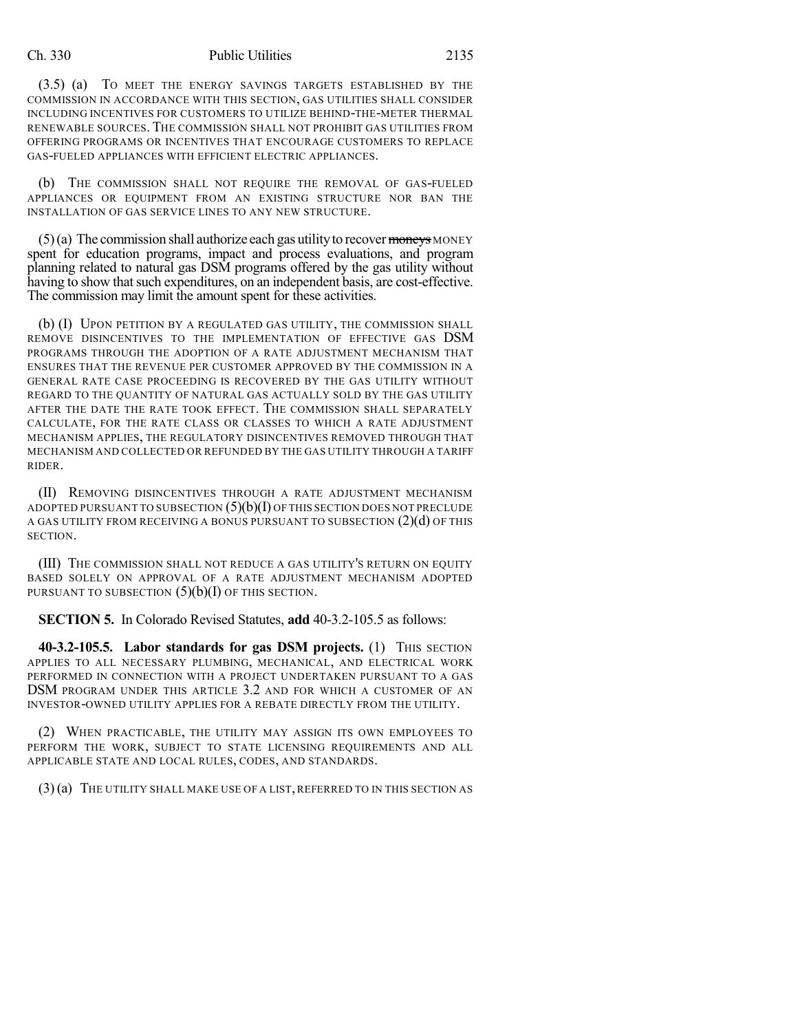#### Ch. 330 Public Utilities 2135

(3.5) (a) TO MEET THE ENERGY SAVINGS TARGETS ESTABLISHED BY THE COMMISSION IN ACCORDANCE WITH THIS SECTION, GAS UTILITIES SHALL CONSIDER INCLUDING INCENTIVES FOR CUSTOMERS TO UTILIZE BEHIND-THE-METER THERMAL RENEWABLE SOURCES. THE COMMISSION SHALL NOT PROHIBIT GAS UTILITIES FROM OFFERING PROGRAMS OR INCENTIVES THAT ENCOURAGE CUSTOMERS TO REPLACE GAS-FUELED APPLIANCES WITH EFFICIENT ELECTRIC APPLIANCES.

(b) THE COMMISSION SHALL NOT REQUIRE THE REMOVAL OF GAS-FUELED APPLIANCES OR EQUIPMENT FROM AN EXISTING STRUCTURE NOR BAN THE INSTALLATION OF GAS SERVICE LINES TO ANY NEW STRUCTURE.

 $(5)$ (a) The commission shall authorize each gas utility to recover moneys MONEY spent for education programs, impact and process evaluations, and program planning related to natural gas DSM programs offered by the gas utility without having to show that such expenditures, on an independent basis, are cost-effective. The commission may limit the amount spent for these activities.

(b) (I) UPON PETITION BY A REGULATED GAS UTILITY, THE COMMISSION SHALL REMOVE DISINCENTIVES TO THE IMPLEMENTATION OF EFFECTIVE GAS DSM PROGRAMS THROUGH THE ADOPTION OF A RATE ADJUSTMENT MECHANISM THAT ENSURES THAT THE REVENUE PER CUSTOMER APPROVED BY THE COMMISSION IN A GENERAL RATE CASE PROCEEDING IS RECOVERED BY THE GAS UTILITY WITHOUT REGARD TO THE QUANTITY OF NATURAL GAS ACTUALLY SOLD BY THE GAS UTILITY AFTER THE DATE THE RATE TOOK EFFECT. THE COMMISSION SHALL SEPARATELY CALCULATE, FOR THE RATE CLASS OR CLASSES TO WHICH A RATE ADJUSTMENT MECHANISM APPLIES, THE REGULATORY DISINCENTIVES REMOVED THROUGH THAT MECHANISM AND COLLECTED OR REFUNDED BY THE GAS UTILITY THROUGH A TARIFF RIDER.

(II) REMOVING DISINCENTIVES THROUGH A RATE ADJUSTMENT MECHANISM ADOPTED PURSUANT TO SUBSECTION  $(5)(b)(I)$  OF THIS SECTION DOES NOT PRECLUDE A GAS UTILITY FROM RECEIVING A BONUS PURSUANT TO SUBSECTION  $(2)(d)$  OF THIS SECTION.

(III) THE COMMISSION SHALL NOT REDUCE A GAS UTILITY'S RETURN ON EQUITY BASED SOLELY ON APPROVAL OF A RATE ADJUSTMENT MECHANISM ADOPTED PURSUANT TO SUBSECTION  $(5)(b)(I)$  OF THIS SECTION.

**SECTION 5.** In Colorado Revised Statutes, **add** 40-3.2-105.5 as follows:

**40-3.2-105.5. Labor standards for gas DSM projects.** (1) THIS SECTION APPLIES TO ALL NECESSARY PLUMBING, MECHANICAL, AND ELECTRICAL WORK PERFORMED IN CONNECTION WITH A PROJECT UNDERTAKEN PURSUANT TO A GAS DSM PROGRAM UNDER THIS ARTICLE 3.2 AND FOR WHICH A CUSTOMER OF AN INVESTOR-OWNED UTILITY APPLIES FOR A REBATE DIRECTLY FROM THE UTILITY.

(2) WHEN PRACTICABLE, THE UTILITY MAY ASSIGN ITS OWN EMPLOYEES TO PERFORM THE WORK, SUBJECT TO STATE LICENSING REQUIREMENTS AND ALL APPLICABLE STATE AND LOCAL RULES, CODES, AND STANDARDS.

(3)(a) THE UTILITY SHALL MAKE USE OF A LIST,REFERRED TO IN THIS SECTION AS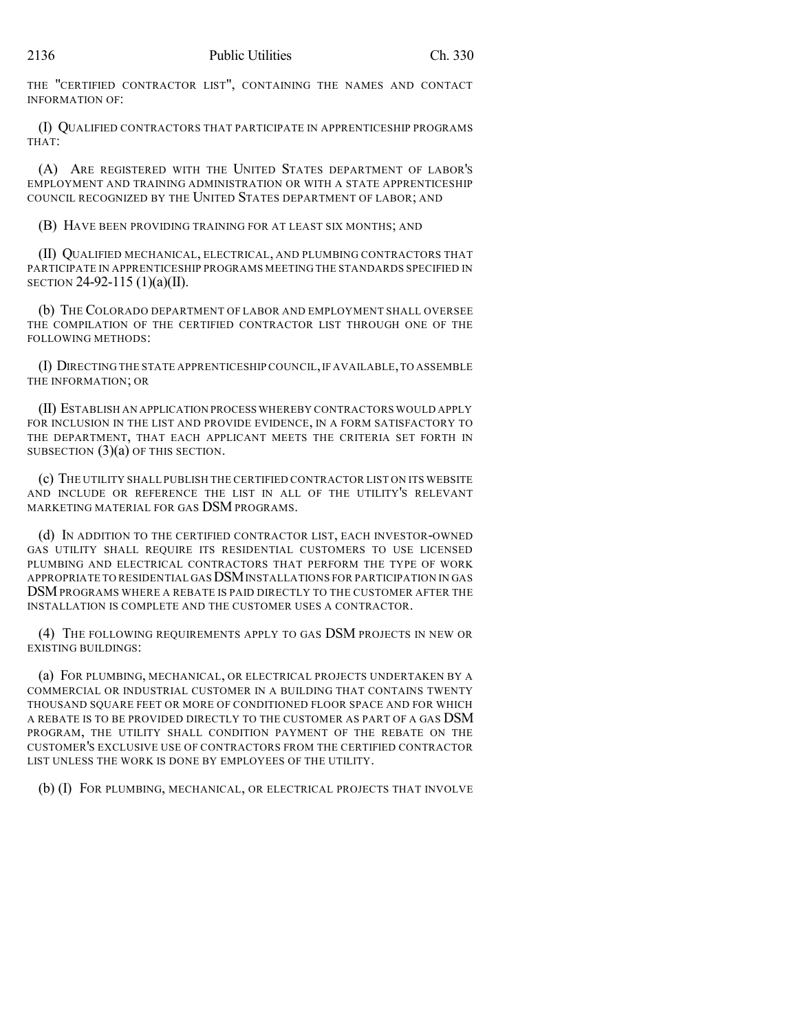THE "CERTIFIED CONTRACTOR LIST", CONTAINING THE NAMES AND CONTACT INFORMATION OF:

(I) QUALIFIED CONTRACTORS THAT PARTICIPATE IN APPRENTICESHIP PROGRAMS THAT:

(A) ARE REGISTERED WITH THE UNITED STATES DEPARTMENT OF LABOR'S EMPLOYMENT AND TRAINING ADMINISTRATION OR WITH A STATE APPRENTICESHIP COUNCIL RECOGNIZED BY THE UNITED STATES DEPARTMENT OF LABOR; AND

(B) HAVE BEEN PROVIDING TRAINING FOR AT LEAST SIX MONTHS; AND

(II) QUALIFIED MECHANICAL, ELECTRICAL, AND PLUMBING CONTRACTORS THAT PARTICIPATE IN APPRENTICESHIP PROGRAMS MEETING THE STANDARDS SPECIFIED IN SECTION 24-92-115 (1)(a)(II).

(b) THE COLORADO DEPARTMENT OF LABOR AND EMPLOYMENT SHALL OVERSEE THE COMPILATION OF THE CERTIFIED CONTRACTOR LIST THROUGH ONE OF THE FOLLOWING METHODS:

(I) DIRECTING THE STATE APPRENTICESHIP COUNCIL,IF AVAILABLE,TO ASSEMBLE THE INFORMATION; OR

(II) ESTABLISH AN APPLICATION PROCESS WHEREBY CONTRACTORS WOULD APPLY FOR INCLUSION IN THE LIST AND PROVIDE EVIDENCE, IN A FORM SATISFACTORY TO THE DEPARTMENT, THAT EACH APPLICANT MEETS THE CRITERIA SET FORTH IN SUBSECTION (3)(a) OF THIS SECTION.

(c) THE UTILITY SHALL PUBLISH THE CERTIFIED CONTRACTOR LIST ON ITS WEBSITE AND INCLUDE OR REFERENCE THE LIST IN ALL OF THE UTILITY'S RELEVANT MARKETING MATERIAL FOR GAS DSM PROGRAMS.

(d) IN ADDITION TO THE CERTIFIED CONTRACTOR LIST, EACH INVESTOR-OWNED GAS UTILITY SHALL REQUIRE ITS RESIDENTIAL CUSTOMERS TO USE LICENSED PLUMBING AND ELECTRICAL CONTRACTORS THAT PERFORM THE TYPE OF WORK APPROPRIATE TO RESIDENTIAL GAS **DSM** INSTALLATIONS FOR PARTICIPATION IN GAS DSMPROGRAMS WHERE A REBATE IS PAID DIRECTLY TO THE CUSTOMER AFTER THE INSTALLATION IS COMPLETE AND THE CUSTOMER USES A CONTRACTOR.

(4) THE FOLLOWING REQUIREMENTS APPLY TO GAS DSM PROJECTS IN NEW OR EXISTING BUILDINGS:

(a) FOR PLUMBING, MECHANICAL, OR ELECTRICAL PROJECTS UNDERTAKEN BY A COMMERCIAL OR INDUSTRIAL CUSTOMER IN A BUILDING THAT CONTAINS TWENTY THOUSAND SQUARE FEET OR MORE OF CONDITIONED FLOOR SPACE AND FOR WHICH A REBATE IS TO BE PROVIDED DIRECTLY TO THE CUSTOMER AS PART OF A GAS DSM PROGRAM, THE UTILITY SHALL CONDITION PAYMENT OF THE REBATE ON THE CUSTOMER'S EXCLUSIVE USE OF CONTRACTORS FROM THE CERTIFIED CONTRACTOR LIST UNLESS THE WORK IS DONE BY EMPLOYEES OF THE UTILITY.

(b) (I) FOR PLUMBING, MECHANICAL, OR ELECTRICAL PROJECTS THAT INVOLVE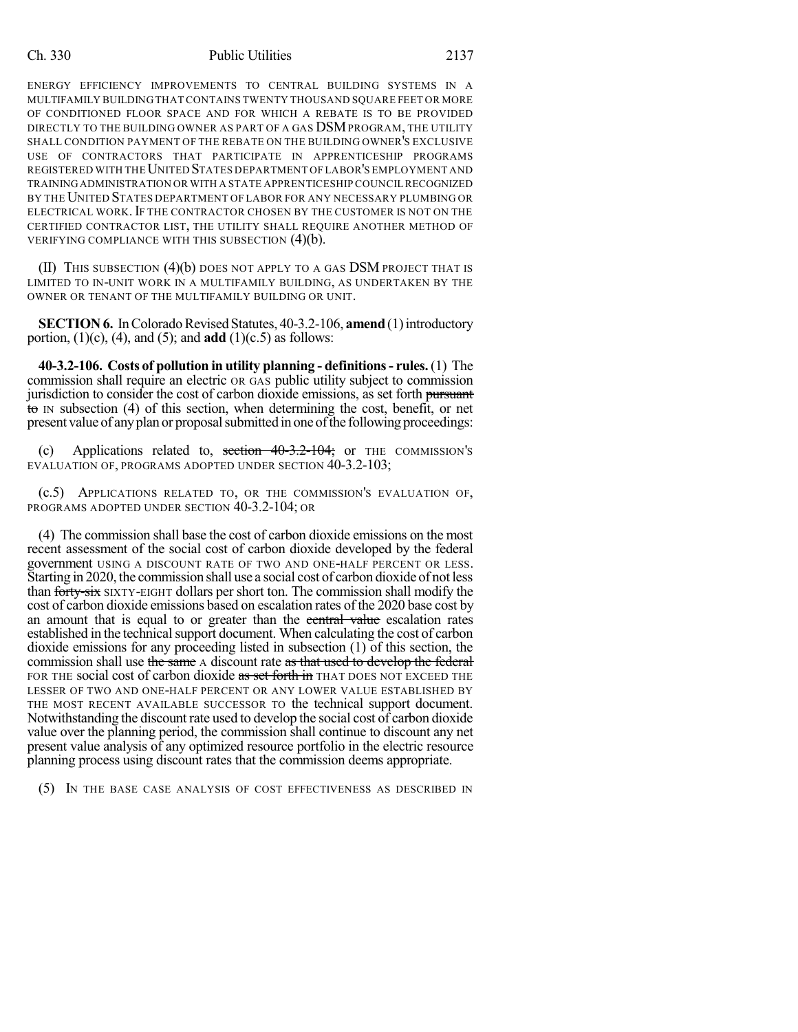#### Ch. 330 Public Utilities 2137

ENERGY EFFICIENCY IMPROVEMENTS TO CENTRAL BUILDING SYSTEMS IN A MULTIFAMILY BUILDING THAT CONTAINS TWENTY THOUSAND SQUARE FEET OR MORE OF CONDITIONED FLOOR SPACE AND FOR WHICH A REBATE IS TO BE PROVIDED DIRECTLY TO THE BUILDING OWNER AS PART OF A GAS DSMPROGRAM, THE UTILITY SHALL CONDITION PAYMENT OF THE REBATE ON THE BUILDING OWNER'S EXCLUSIVE USE OF CONTRACTORS THAT PARTICIPATE IN APPRENTICESHIP PROGRAMS REGISTERED WITH THEUNITED STATES DEPARTMENT OF LABOR'S EMPLOYMENT AND TRAININGADMINISTRATION OR WITH A STATE APPRENTICESHIP COUNCIL RECOGNIZED BY THE UNITED STATES DEPARTMENT OF LABOR FOR ANY NECESSARY PLUMBING OR ELECTRICAL WORK. IF THE CONTRACTOR CHOSEN BY THE CUSTOMER IS NOT ON THE CERTIFIED CONTRACTOR LIST, THE UTILITY SHALL REQUIRE ANOTHER METHOD OF VERIFYING COMPLIANCE WITH THIS SUBSECTION (4)(b).

 $(II)$  This subsection  $(4)(b)$  does not apply to a gas DSM project that is LIMITED TO IN-UNIT WORK IN A MULTIFAMILY BUILDING, AS UNDERTAKEN BY THE OWNER OR TENANT OF THE MULTIFAMILY BUILDING OR UNIT.

**SECTION 6.** In Colorado Revised Statutes, 40-3.2-106, **amend** (1) introductory portion,  $(1)(c)$ ,  $(4)$ , and  $(5)$ ; and **add**  $(1)(c.5)$  as follows:

**40-3.2-106. Costs of pollution in utility planning - definitions- rules.**(1) The commission shall require an electric OR GAS public utility subject to commission jurisdiction to consider the cost of carbon dioxide emissions, as set forth pursuant to IN subsection (4) of this section, when determining the cost, benefit, or net present value of any plan or proposal submitted in one of the following proceedings:

(c) Applications related to, section 40-3.2-104; or THE COMMISSION'S EVALUATION OF, PROGRAMS ADOPTED UNDER SECTION 40-3.2-103;

(c.5) APPLICATIONS RELATED TO, OR THE COMMISSION'S EVALUATION OF, PROGRAMS ADOPTED UNDER SECTION 40-3.2-104; OR

(4) The commission shall base the cost of carbon dioxide emissions on the most recent assessment of the social cost of carbon dioxide developed by the federal government USING A DISCOUNT RATE OF TWO AND ONE-HALF PERCENT OR LESS. Starting in 2020, the commission shall use a social cost of carbon dioxide of not less than forty-six SIXTY-EIGHT dollars per short ton. The commission shall modify the cost of carbon dioxide emissions based on escalation rates of the 2020 base cost by an amount that is equal to or greater than the central value escalation rates established in the technical support document. When calculating the cost of carbon dioxide emissions for any proceeding listed in subsection (1) of this section, the commission shall use the same A discount rate as that used to develop the federal FOR THE social cost of carbon dioxide as set forth in THAT DOES NOT EXCEED THE LESSER OF TWO AND ONE-HALF PERCENT OR ANY LOWER VALUE ESTABLISHED BY THE MOST RECENT AVAILABLE SUCCESSOR TO the technical support document. Notwithstanding the discount rate used to develop the social cost of carbon dioxide value over the planning period, the commission shall continue to discount any net present value analysis of any optimized resource portfolio in the electric resource planning process using discount rates that the commission deems appropriate.

(5) IN THE BASE CASE ANALYSIS OF COST EFFECTIVENESS AS DESCRIBED IN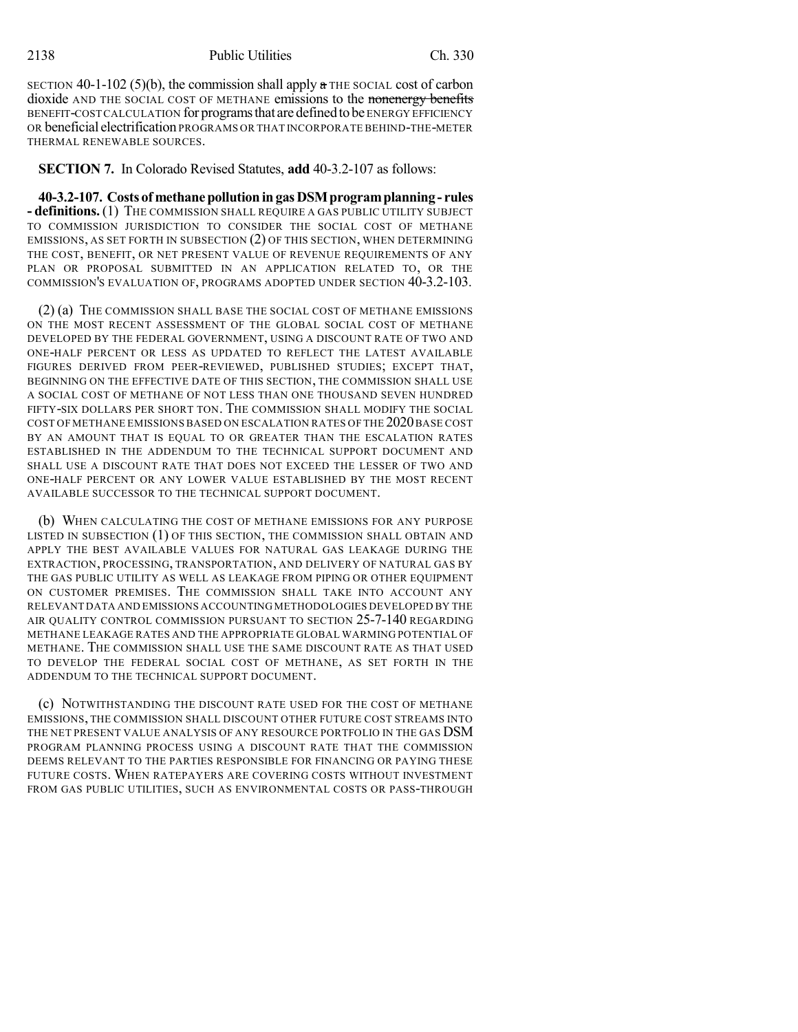SECTION 40-1-102 (5)(b), the commission shall apply  $\alpha$  THE SOCIAL cost of carbon dioxide AND THE SOCIAL COST OF METHANE emissions to the nonenergy benefits BENEFIT-COST CALCULATION for programsthat aredefinedtobe ENERGY EFFICIENCY OR beneficial electrification PROGRAMS OR THAT INCORPORATE BEHIND-THE-METER THERMAL RENEWABLE SOURCES.

**SECTION 7.** In Colorado Revised Statutes, **add** 40-3.2-107 as follows:

**40-3.2-107. Costs of methanepollutioningasDSMprogramplanning - rules - definitions.** (1) THE COMMISSION SHALL REQUIRE A GAS PUBLIC UTILITY SUBJECT TO COMMISSION JURISDICTION TO CONSIDER THE SOCIAL COST OF METHANE EMISSIONS, AS SET FORTH IN SUBSECTION (2) OF THIS SECTION, WHEN DETERMINING THE COST, BENEFIT, OR NET PRESENT VALUE OF REVENUE REQUIREMENTS OF ANY PLAN OR PROPOSAL SUBMITTED IN AN APPLICATION RELATED TO, OR THE COMMISSION'S EVALUATION OF, PROGRAMS ADOPTED UNDER SECTION 40-3.2-103.

(2) (a) THE COMMISSION SHALL BASE THE SOCIAL COST OF METHANE EMISSIONS ON THE MOST RECENT ASSESSMENT OF THE GLOBAL SOCIAL COST OF METHANE DEVELOPED BY THE FEDERAL GOVERNMENT, USING A DISCOUNT RATE OF TWO AND ONE-HALF PERCENT OR LESS AS UPDATED TO REFLECT THE LATEST AVAILABLE FIGURES DERIVED FROM PEER-REVIEWED, PUBLISHED STUDIES; EXCEPT THAT, BEGINNING ON THE EFFECTIVE DATE OF THIS SECTION, THE COMMISSION SHALL USE A SOCIAL COST OF METHANE OF NOT LESS THAN ONE THOUSAND SEVEN HUNDRED FIFTY-SIX DOLLARS PER SHORT TON. THE COMMISSION SHALL MODIFY THE SOCIAL COST OF METHANE EMISSIONS BASED ON ESCALATION RATES OF THE 2020 BASE COST BY AN AMOUNT THAT IS EQUAL TO OR GREATER THAN THE ESCALATION RATES ESTABLISHED IN THE ADDENDUM TO THE TECHNICAL SUPPORT DOCUMENT AND SHALL USE A DISCOUNT RATE THAT DOES NOT EXCEED THE LESSER OF TWO AND ONE-HALF PERCENT OR ANY LOWER VALUE ESTABLISHED BY THE MOST RECENT AVAILABLE SUCCESSOR TO THE TECHNICAL SUPPORT DOCUMENT.

(b) WHEN CALCULATING THE COST OF METHANE EMISSIONS FOR ANY PURPOSE LISTED IN SUBSECTION (1) OF THIS SECTION, THE COMMISSION SHALL OBTAIN AND APPLY THE BEST AVAILABLE VALUES FOR NATURAL GAS LEAKAGE DURING THE EXTRACTION, PROCESSING, TRANSPORTATION, AND DELIVERY OF NATURAL GAS BY THE GAS PUBLIC UTILITY AS WELL AS LEAKAGE FROM PIPING OR OTHER EQUIPMENT ON CUSTOMER PREMISES. THE COMMISSION SHALL TAKE INTO ACCOUNT ANY RELEVANT DATA AND EMISSIONS ACCOUNTING METHODOLOGIES DEVELOPED BY THE AIR QUALITY CONTROL COMMISSION PURSUANT TO SECTION 25-7-140 REGARDING METHANE LEAKAGE RATES AND THE APPROPRIATE GLOBAL WARMING POTENTIAL OF METHANE. THE COMMISSION SHALL USE THE SAME DISCOUNT RATE AS THAT USED TO DEVELOP THE FEDERAL SOCIAL COST OF METHANE, AS SET FORTH IN THE ADDENDUM TO THE TECHNICAL SUPPORT DOCUMENT.

(c) NOTWITHSTANDING THE DISCOUNT RATE USED FOR THE COST OF METHANE EMISSIONS, THE COMMISSION SHALL DISCOUNT OTHER FUTURE COST STREAMS INTO THE NET PRESENT VALUE ANALYSIS OF ANY RESOURCE PORTFOLIO IN THE GAS DSM PROGRAM PLANNING PROCESS USING A DISCOUNT RATE THAT THE COMMISSION DEEMS RELEVANT TO THE PARTIES RESPONSIBLE FOR FINANCING OR PAYING THESE FUTURE COSTS. WHEN RATEPAYERS ARE COVERING COSTS WITHOUT INVESTMENT FROM GAS PUBLIC UTILITIES, SUCH AS ENVIRONMENTAL COSTS OR PASS-THROUGH